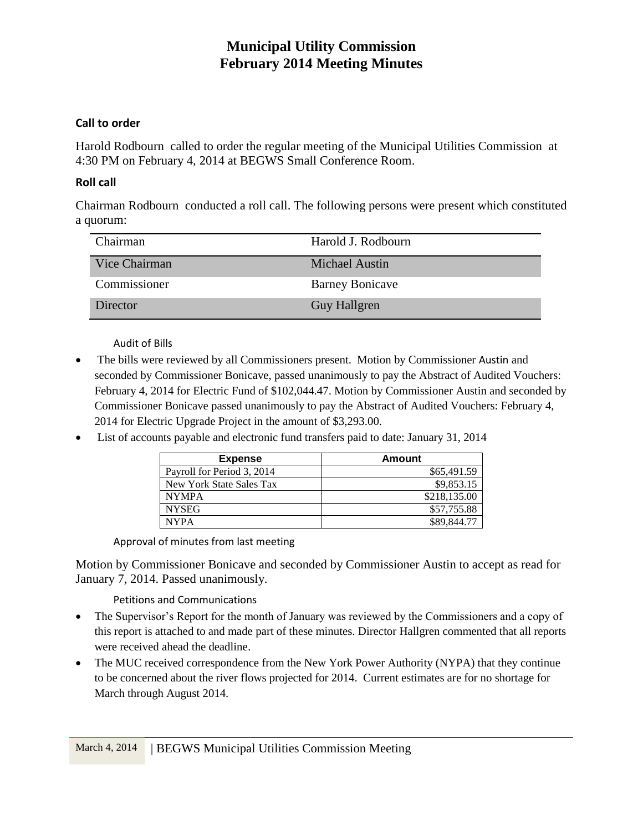#### **Call to order**

Harold Rodbourn called to order the regular meeting of the Municipal Utilities Commission at 4:30 PM on February 4, 2014 at BEGWS Small Conference Room.

#### **Roll call**

Chairman Rodbourn conducted a roll call. The following persons were present which constituted a quorum:

| Chairman      | Harold J. Rodbourn     |
|---------------|------------------------|
| Vice Chairman | Michael Austin         |
| Commissioner  | <b>Barney Bonicave</b> |
| Director      | <b>Guy Hallgren</b>    |

Audit of Bills

- The bills were reviewed by all Commissioners present. Motion by Commissioner Austin and seconded by Commissioner Bonicave, passed unanimously to pay the Abstract of Audited Vouchers: February 4, 2014 for Electric Fund of \$102,044.47. Motion by Commissioner Austin and seconded by Commissioner Bonicave passed unanimously to pay the Abstract of Audited Vouchers: February 4, 2014 for Electric Upgrade Project in the amount of \$3,293.00.
- List of accounts payable and electronic fund transfers paid to date: January 31, 2014

| <b>Expense</b>             | Amount       |
|----------------------------|--------------|
| Payroll for Period 3, 2014 | \$65,491.59  |
| New York State Sales Tax   | \$9,853.15   |
| <b>NYMPA</b>               | \$218,135.00 |
| <b>NYSEG</b>               | \$57,755.88  |
| <b>NYPA</b>                | \$89.844.77  |

Approval of minutes from last meeting

Motion by Commissioner Bonicave and seconded by Commissioner Austin to accept as read for January 7, 2014. Passed unanimously.

Petitions and Communications

- The Supervisor's Report for the month of January was reviewed by the Commissioners and a copy of this report is attached to and made part of these minutes. Director Hallgren commented that all reports were received ahead the deadline.
- The MUC received correspondence from the New York Power Authority (NYPA) that they continue to be concerned about the river flows projected for 2014. Current estimates are for no shortage for March through August 2014.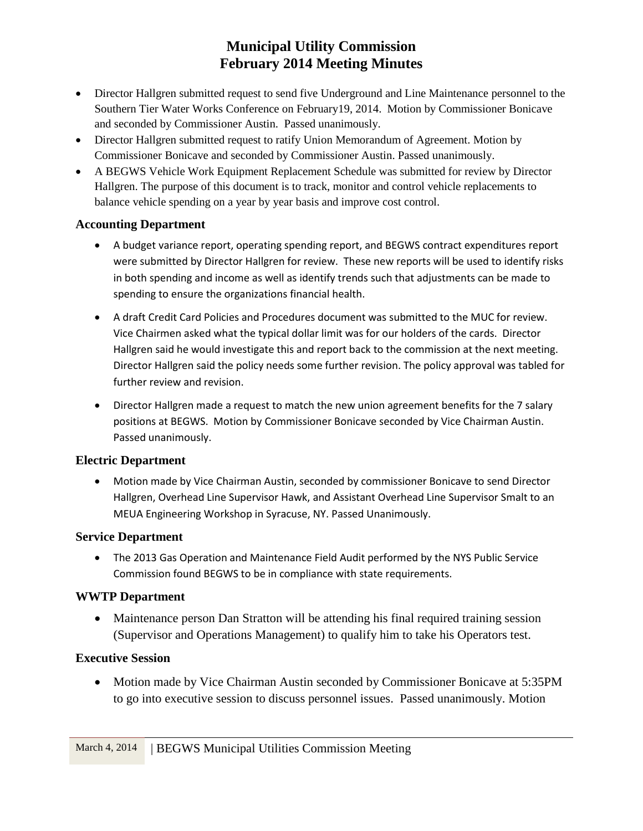- Director Hallgren submitted request to send five Underground and Line Maintenance personnel to the Southern Tier Water Works Conference on February19, 2014. Motion by Commissioner Bonicave and seconded by Commissioner Austin. Passed unanimously.
- Director Hallgren submitted request to ratify Union Memorandum of Agreement. Motion by Commissioner Bonicave and seconded by Commissioner Austin. Passed unanimously.
- A BEGWS Vehicle Work Equipment Replacement Schedule was submitted for review by Director Hallgren. The purpose of this document is to track, monitor and control vehicle replacements to balance vehicle spending on a year by year basis and improve cost control.

#### **Accounting Department**

- A budget variance report, operating spending report, and BEGWS contract expenditures report were submitted by Director Hallgren for review. These new reports will be used to identify risks in both spending and income as well as identify trends such that adjustments can be made to spending to ensure the organizations financial health.
- A draft Credit Card Policies and Procedures document was submitted to the MUC for review. Vice Chairmen asked what the typical dollar limit was for our holders of the cards. Director Hallgren said he would investigate this and report back to the commission at the next meeting. Director Hallgren said the policy needs some further revision. The policy approval was tabled for further review and revision.
- Director Hallgren made a request to match the new union agreement benefits for the 7 salary positions at BEGWS. Motion by Commissioner Bonicave seconded by Vice Chairman Austin. Passed unanimously.

## **Electric Department**

 Motion made by Vice Chairman Austin, seconded by commissioner Bonicave to send Director Hallgren, Overhead Line Supervisor Hawk, and Assistant Overhead Line Supervisor Smalt to an MEUA Engineering Workshop in Syracuse, NY. Passed Unanimously.

## **Service Department**

 The 2013 Gas Operation and Maintenance Field Audit performed by the NYS Public Service Commission found BEGWS to be in compliance with state requirements.

## **WWTP Department**

• Maintenance person Dan Stratton will be attending his final required training session (Supervisor and Operations Management) to qualify him to take his Operators test.

## **Executive Session**

• Motion made by Vice Chairman Austin seconded by Commissioner Bonicave at 5:35PM to go into executive session to discuss personnel issues. Passed unanimously. Motion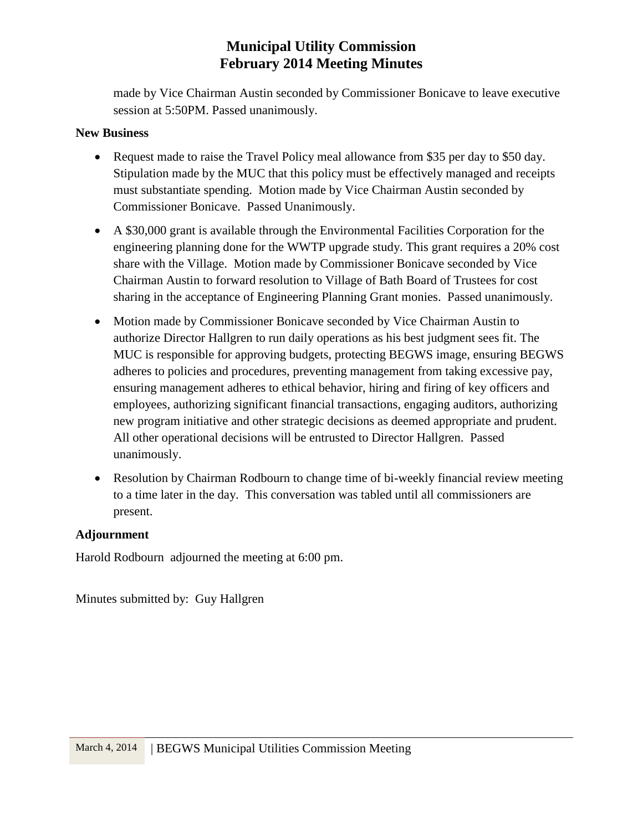made by Vice Chairman Austin seconded by Commissioner Bonicave to leave executive session at 5:50PM. Passed unanimously.

#### **New Business**

- Request made to raise the Travel Policy meal allowance from \$35 per day to \$50 day. Stipulation made by the MUC that this policy must be effectively managed and receipts must substantiate spending. Motion made by Vice Chairman Austin seconded by Commissioner Bonicave. Passed Unanimously.
- A \$30,000 grant is available through the Environmental Facilities Corporation for the engineering planning done for the WWTP upgrade study. This grant requires a 20% cost share with the Village. Motion made by Commissioner Bonicave seconded by Vice Chairman Austin to forward resolution to Village of Bath Board of Trustees for cost sharing in the acceptance of Engineering Planning Grant monies. Passed unanimously.
- Motion made by Commissioner Bonicave seconded by Vice Chairman Austin to authorize Director Hallgren to run daily operations as his best judgment sees fit. The MUC is responsible for approving budgets, protecting BEGWS image, ensuring BEGWS adheres to policies and procedures, preventing management from taking excessive pay, ensuring management adheres to ethical behavior, hiring and firing of key officers and employees, authorizing significant financial transactions, engaging auditors, authorizing new program initiative and other strategic decisions as deemed appropriate and prudent. All other operational decisions will be entrusted to Director Hallgren. Passed unanimously.
- Resolution by Chairman Rodbourn to change time of bi-weekly financial review meeting to a time later in the day. This conversation was tabled until all commissioners are present.

#### **Adjournment**

Harold Rodbourn adjourned the meeting at 6:00 pm.

Minutes submitted by: Guy Hallgren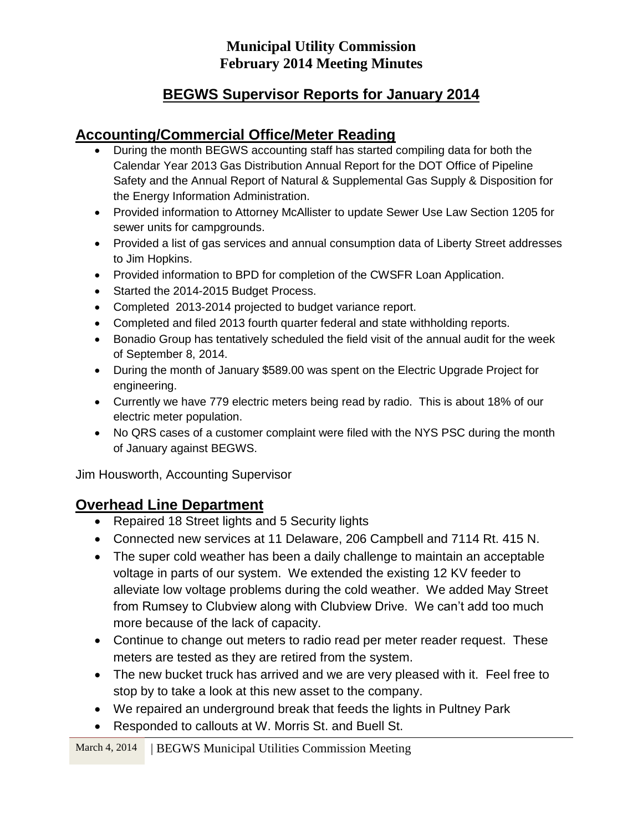# **BEGWS Supervisor Reports for January 2014**

# **Accounting/Commercial Office/Meter Reading**

- During the month BEGWS accounting staff has started compiling data for both the Calendar Year 2013 Gas Distribution Annual Report for the DOT Office of Pipeline Safety and the Annual Report of Natural & Supplemental Gas Supply & Disposition for the Energy Information Administration.
- Provided information to Attorney McAllister to update Sewer Use Law Section 1205 for sewer units for campgrounds.
- Provided a list of gas services and annual consumption data of Liberty Street addresses to Jim Hopkins.
- Provided information to BPD for completion of the CWSFR Loan Application.
- Started the 2014-2015 Budget Process.
- Completed 2013-2014 projected to budget variance report.
- Completed and filed 2013 fourth quarter federal and state withholding reports.
- Bonadio Group has tentatively scheduled the field visit of the annual audit for the week of September 8, 2014.
- During the month of January \$589.00 was spent on the Electric Upgrade Project for engineering.
- Currently we have 779 electric meters being read by radio. This is about 18% of our electric meter population.
- No QRS cases of a customer complaint were filed with the NYS PSC during the month of January against BEGWS.

Jim Housworth, Accounting Supervisor

# **Overhead Line Department**

- Repaired 18 Street lights and 5 Security lights
- Connected new services at 11 Delaware, 206 Campbell and 7114 Rt. 415 N.
- The super cold weather has been a daily challenge to maintain an acceptable voltage in parts of our system. We extended the existing 12 KV feeder to alleviate low voltage problems during the cold weather. We added May Street from Rumsey to Clubview along with Clubview Drive. We can't add too much more because of the lack of capacity.
- Continue to change out meters to radio read per meter reader request. These meters are tested as they are retired from the system.
- The new bucket truck has arrived and we are very pleased with it. Feel free to stop by to take a look at this new asset to the company.
- We repaired an underground break that feeds the lights in Pultney Park
- Responded to callouts at W. Morris St. and Buell St.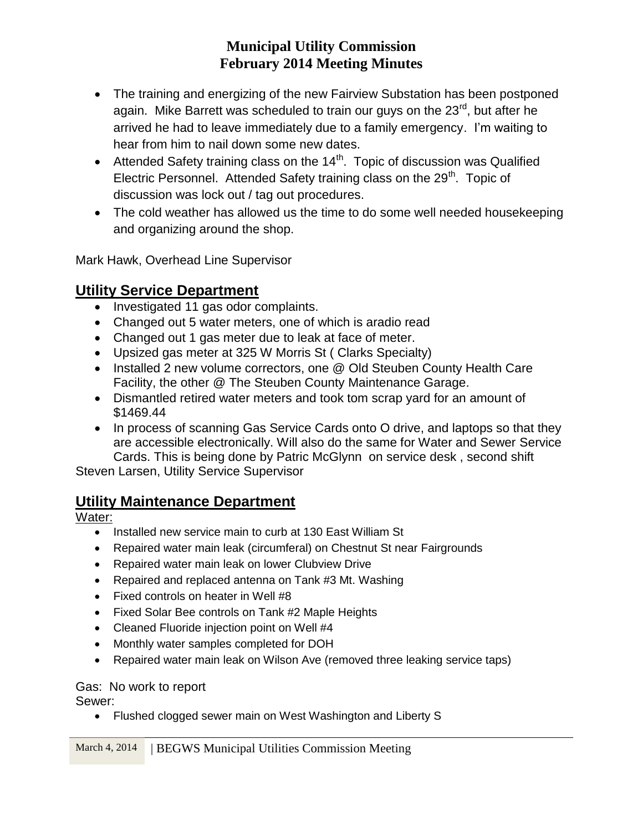- The training and energizing of the new Fairview Substation has been postponed again. Mike Barrett was scheduled to train our guys on the 23<sup>rd</sup>, but after he arrived he had to leave immediately due to a family emergency. I'm waiting to hear from him to nail down some new dates.
- Attended Safety training class on the  $14<sup>th</sup>$ . Topic of discussion was Qualified Electric Personnel. Attended Safety training class on the 29<sup>th</sup>. Topic of discussion was lock out / tag out procedures.
- The cold weather has allowed us the time to do some well needed housekeeping and organizing around the shop.

Mark Hawk, Overhead Line Supervisor

## **Utility Service Department**

- Investigated 11 gas odor complaints.
- Changed out 5 water meters, one of which is aradio read
- Changed out 1 gas meter due to leak at face of meter.
- Upsized gas meter at 325 W Morris St ( Clarks Specialty)
- Installed 2 new volume correctors, one @ Old Steuben County Health Care Facility, the other @ The Steuben County Maintenance Garage.
- Dismantled retired water meters and took tom scrap yard for an amount of \$1469.44
- In process of scanning Gas Service Cards onto O drive, and laptops so that they are accessible electronically. Will also do the same for Water and Sewer Service Cards. This is being done by Patric McGlynn on service desk , second shift

Steven Larsen, Utility Service Supervisor

# **Utility Maintenance Department**

## Water:

- Installed new service main to curb at 130 East William St
- Repaired water main leak (circumferal) on Chestnut St near Fairgrounds
- Repaired water main leak on lower Clubview Drive
- Repaired and replaced antenna on Tank #3 Mt. Washing
- Fixed controls on heater in Well #8
- Fixed Solar Bee controls on Tank #2 Maple Heights
- Cleaned Fluoride injection point on Well #4
- Monthly water samples completed for DOH
- Repaired water main leak on Wilson Ave (removed three leaking service taps)

## Gas: No work to report

Sewer:

• Flushed clogged sewer main on West Washington and Liberty S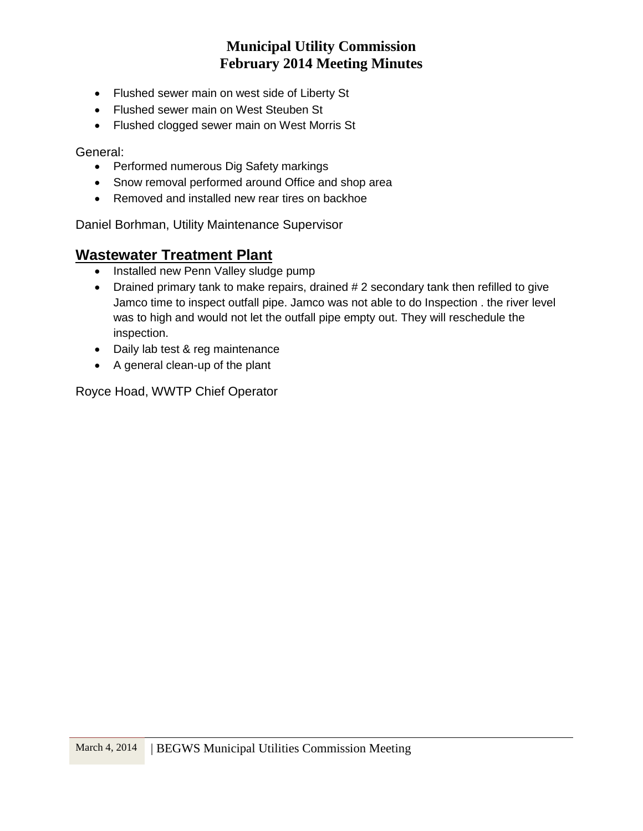- Flushed sewer main on west side of Liberty St
- Flushed sewer main on West Steuben St
- Flushed clogged sewer main on West Morris St

General:

- Performed numerous Dig Safety markings
- Snow removal performed around Office and shop area
- Removed and installed new rear tires on backhoe

Daniel Borhman, Utility Maintenance Supervisor

# **Wastewater Treatment Plant**

- Installed new Penn Valley sludge pump
- Drained primary tank to make repairs, drained # 2 secondary tank then refilled to give Jamco time to inspect outfall pipe. Jamco was not able to do Inspection . the river level was to high and would not let the outfall pipe empty out. They will reschedule the inspection.
- Daily lab test & reg maintenance
- A general clean-up of the plant

Royce Hoad, WWTP Chief Operator